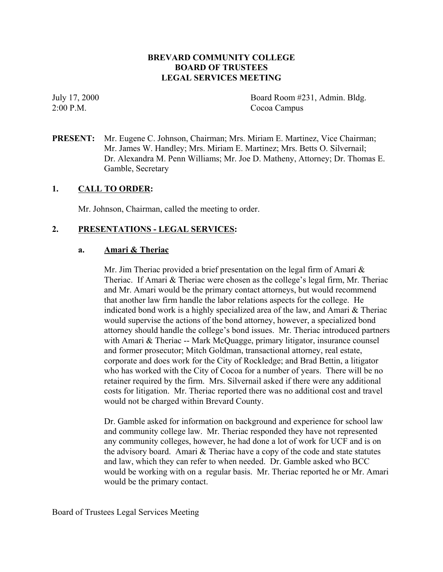# **BREVARD COMMUNITY COLLEGE BOARD OF TRUSTEES LEGAL SERVICES MEETING**

July 17, 2000 Board Room #231, Admin. Bldg. 2:00 P.M. Cocoa Campus

**PRESENT:** Mr. Eugene C. Johnson, Chairman; Mrs. Miriam E. Martinez, Vice Chairman; Mr. James W. Handley; Mrs. Miriam E. Martinez; Mrs. Betts O. Silvernail; Dr. Alexandra M. Penn Williams; Mr. Joe D. Matheny, Attorney; Dr. Thomas E. Gamble, Secretary

## **1. CALL TO ORDER:**

Mr. Johnson, Chairman, called the meeting to order.

## **2. PRESENTATIONS - LEGAL SERVICES:**

### **a. Amari & Theriac**

Mr. Jim Theriac provided a brief presentation on the legal firm of Amari  $\&$ Theriac. If Amari & Theriac were chosen as the college's legal firm, Mr. Theriac and Mr. Amari would be the primary contact attorneys, but would recommend that another law firm handle the labor relations aspects for the college. He indicated bond work is a highly specialized area of the law, and Amari & Theriac would supervise the actions of the bond attorney, however, a specialized bond attorney should handle the college's bond issues. Mr. Theriac introduced partners with Amari & Theriac -- Mark McQuagge, primary litigator, insurance counsel and former prosecutor; Mitch Goldman, transactional attorney, real estate, corporate and does work for the City of Rockledge; and Brad Bettin, a litigator who has worked with the City of Cocoa for a number of years. There will be no retainer required by the firm. Mrs. Silvernail asked if there were any additional costs for litigation. Mr. Theriac reported there was no additional cost and travel would not be charged within Brevard County.

Dr. Gamble asked for information on background and experience for school law and community college law. Mr. Theriac responded they have not represented any community colleges, however, he had done a lot of work for UCF and is on the advisory board. Amari & Theriac have a copy of the code and state statutes and law, which they can refer to when needed. Dr. Gamble asked who BCC would be working with on a regular basis. Mr. Theriac reported he or Mr. Amari would be the primary contact.

Board of Trustees Legal Services Meeting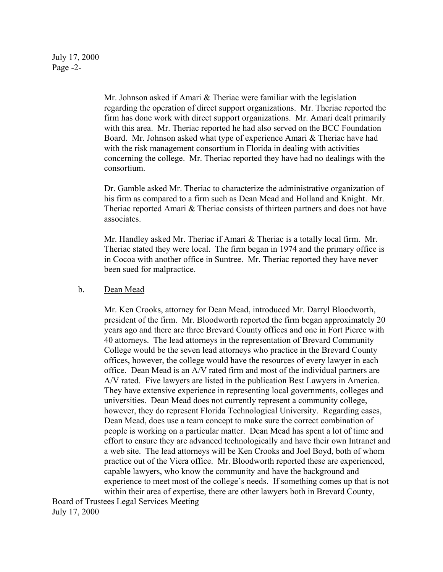Mr. Johnson asked if Amari & Theriac were familiar with the legislation regarding the operation of direct support organizations. Mr. Theriac reported the firm has done work with direct support organizations. Mr. Amari dealt primarily with this area. Mr. Theriac reported he had also served on the BCC Foundation Board. Mr. Johnson asked what type of experience Amari & Theriac have had with the risk management consortium in Florida in dealing with activities concerning the college. Mr. Theriac reported they have had no dealings with the consortium.

Dr. Gamble asked Mr. Theriac to characterize the administrative organization of his firm as compared to a firm such as Dean Mead and Holland and Knight. Mr. Theriac reported Amari & Theriac consists of thirteen partners and does not have associates.

Mr. Handley asked Mr. Theriac if Amari & Theriac is a totally local firm. Mr. Theriac stated they were local. The firm began in 1974 and the primary office is in Cocoa with another office in Suntree. Mr. Theriac reported they have never been sued for malpractice.

## b. Dean Mead

Mr. Ken Crooks, attorney for Dean Mead, introduced Mr. Darryl Bloodworth, president of the firm. Mr. Bloodworth reported the firm began approximately 20 years ago and there are three Brevard County offices and one in Fort Pierce with 40 attorneys. The lead attorneys in the representation of Brevard Community College would be the seven lead attorneys who practice in the Brevard County offices, however, the college would have the resources of every lawyer in each office. Dean Mead is an A/V rated firm and most of the individual partners are A/V rated. Five lawyers are listed in the publication Best Lawyers in America. They have extensive experience in representing local governments, colleges and universities. Dean Mead does not currently represent a community college, however, they do represent Florida Technological University. Regarding cases, Dean Mead, does use a team concept to make sure the correct combination of people is working on a particular matter. Dean Mead has spent a lot of time and effort to ensure they are advanced technologically and have their own Intranet and a web site. The lead attorneys will be Ken Crooks and Joel Boyd, both of whom practice out of the Viera office. Mr. Bloodworth reported these are experienced, capable lawyers, who know the community and have the background and experience to meet most of the college's needs. If something comes up that is not within their area of expertise, there are other lawyers both in Brevard County,

Board of Trustees Legal Services Meeting July 17, 2000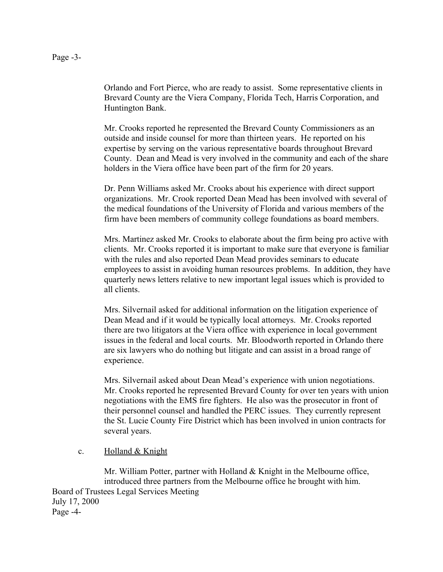Orlando and Fort Pierce, who are ready to assist. Some representative clients in Brevard County are the Viera Company, Florida Tech, Harris Corporation, and Huntington Bank.

Mr. Crooks reported he represented the Brevard County Commissioners as an outside and inside counsel for more than thirteen years. He reported on his expertise by serving on the various representative boards throughout Brevard County. Dean and Mead is very involved in the community and each of the share holders in the Viera office have been part of the firm for 20 years.

Dr. Penn Williams asked Mr. Crooks about his experience with direct support organizations. Mr. Crook reported Dean Mead has been involved with several of the medical foundations of the University of Florida and various members of the firm have been members of community college foundations as board members.

Mrs. Martinez asked Mr. Crooks to elaborate about the firm being pro active with clients. Mr. Crooks reported it is important to make sure that everyone is familiar with the rules and also reported Dean Mead provides seminars to educate employees to assist in avoiding human resources problems. In addition, they have quarterly news letters relative to new important legal issues which is provided to all clients.

Mrs. Silvernail asked for additional information on the litigation experience of Dean Mead and if it would be typically local attorneys. Mr. Crooks reported there are two litigators at the Viera office with experience in local government issues in the federal and local courts. Mr. Bloodworth reported in Orlando there are six lawyers who do nothing but litigate and can assist in a broad range of experience.

Mrs. Silvernail asked about Dean Mead's experience with union negotiations. Mr. Crooks reported he represented Brevard County for over ten years with union negotiations with the EMS fire fighters. He also was the prosecutor in front of their personnel counsel and handled the PERC issues. They currently represent the St. Lucie County Fire District which has been involved in union contracts for several years.

### c. Holland & Knight

Mr. William Potter, partner with Holland & Knight in the Melbourne office, introduced three partners from the Melbourne office he brought with him. Board of Trustees Legal Services Meeting July 17, 2000 Page -4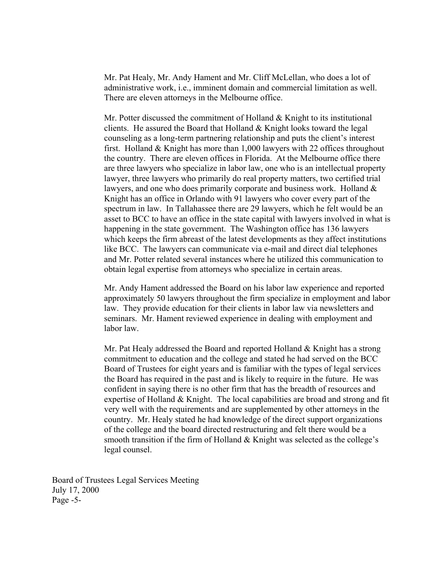Mr. Pat Healy, Mr. Andy Hament and Mr. Cliff McLellan, who does a lot of administrative work, i.e., imminent domain and commercial limitation as well. There are eleven attorneys in the Melbourne office.

Mr. Potter discussed the commitment of Holland  $\&$  Knight to its institutional clients. He assured the Board that Holland  $&$  Knight looks toward the legal counseling as a long-term partnering relationship and puts the client's interest first. Holland & Knight has more than 1,000 lawyers with 22 offices throughout the country. There are eleven offices in Florida. At the Melbourne office there are three lawyers who specialize in labor law, one who is an intellectual property lawyer, three lawyers who primarily do real property matters, two certified trial lawyers, and one who does primarily corporate and business work. Holland  $\&$ Knight has an office in Orlando with 91 lawyers who cover every part of the spectrum in law. In Tallahassee there are 29 lawyers, which he felt would be an asset to BCC to have an office in the state capital with lawyers involved in what is happening in the state government. The Washington office has 136 lawyers which keeps the firm abreast of the latest developments as they affect institutions like BCC. The lawyers can communicate via e-mail and direct dial telephones and Mr. Potter related several instances where he utilized this communication to obtain legal expertise from attorneys who specialize in certain areas.

Mr. Andy Hament addressed the Board on his labor law experience and reported approximately 50 lawyers throughout the firm specialize in employment and labor law. They provide education for their clients in labor law via newsletters and seminars. Mr. Hament reviewed experience in dealing with employment and labor law.

Mr. Pat Healy addressed the Board and reported Holland & Knight has a strong commitment to education and the college and stated he had served on the BCC Board of Trustees for eight years and is familiar with the types of legal services the Board has required in the past and is likely to require in the future. He was confident in saying there is no other firm that has the breadth of resources and expertise of Holland & Knight. The local capabilities are broad and strong and fit very well with the requirements and are supplemented by other attorneys in the country. Mr. Healy stated he had knowledge of the direct support organizations of the college and the board directed restructuring and felt there would be a smooth transition if the firm of Holland & Knight was selected as the college's legal counsel.

Board of Trustees Legal Services Meeting July 17, 2000 Page -5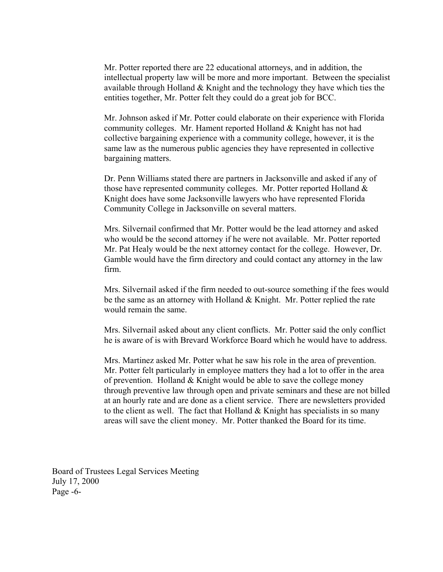Mr. Potter reported there are 22 educational attorneys, and in addition, the intellectual property law will be more and more important. Between the specialist available through Holland  $&$  Knight and the technology they have which ties the entities together, Mr. Potter felt they could do a great job for BCC.

Mr. Johnson asked if Mr. Potter could elaborate on their experience with Florida community colleges. Mr. Hament reported Holland & Knight has not had collective bargaining experience with a community college, however, it is the same law as the numerous public agencies they have represented in collective bargaining matters.

Dr. Penn Williams stated there are partners in Jacksonville and asked if any of those have represented community colleges. Mr. Potter reported Holland  $\&$ Knight does have some Jacksonville lawyers who have represented Florida Community College in Jacksonville on several matters.

Mrs. Silvernail confirmed that Mr. Potter would be the lead attorney and asked who would be the second attorney if he were not available. Mr. Potter reported Mr. Pat Healy would be the next attorney contact for the college. However, Dr. Gamble would have the firm directory and could contact any attorney in the law firm.

Mrs. Silvernail asked if the firm needed to out-source something if the fees would be the same as an attorney with Holland & Knight. Mr. Potter replied the rate would remain the same.

Mrs. Silvernail asked about any client conflicts. Mr. Potter said the only conflict he is aware of is with Brevard Workforce Board which he would have to address.

Mrs. Martinez asked Mr. Potter what he saw his role in the area of prevention. Mr. Potter felt particularly in employee matters they had a lot to offer in the area of prevention. Holland  $&$  Knight would be able to save the college money through preventive law through open and private seminars and these are not billed at an hourly rate and are done as a client service. There are newsletters provided to the client as well. The fact that Holland  $&$  Knight has specialists in so many areas will save the client money. Mr. Potter thanked the Board for its time.

Board of Trustees Legal Services Meeting July 17, 2000 Page -6-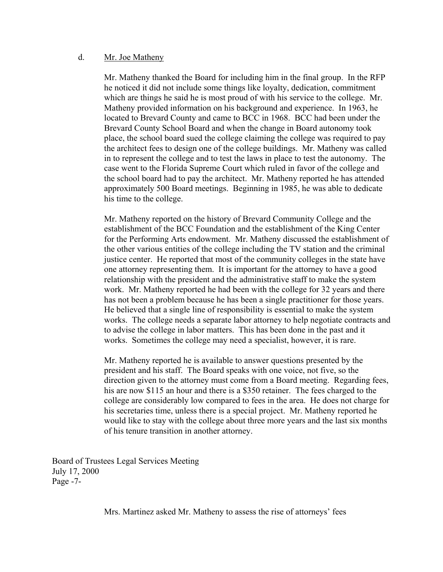#### d. Mr. Joe Matheny

Mr. Matheny thanked the Board for including him in the final group. In the RFP he noticed it did not include some things like loyalty, dedication, commitment which are things he said he is most proud of with his service to the college. Mr. Matheny provided information on his background and experience. In 1963, he located to Brevard County and came to BCC in 1968. BCC had been under the Brevard County School Board and when the change in Board autonomy took place, the school board sued the college claiming the college was required to pay the architect fees to design one of the college buildings. Mr. Matheny was called in to represent the college and to test the laws in place to test the autonomy. The case went to the Florida Supreme Court which ruled in favor of the college and the school board had to pay the architect. Mr. Matheny reported he has attended approximately 500 Board meetings. Beginning in 1985, he was able to dedicate his time to the college.

Mr. Matheny reported on the history of Brevard Community College and the establishment of the BCC Foundation and the establishment of the King Center for the Performing Arts endowment. Mr. Matheny discussed the establishment of the other various entities of the college including the TV station and the criminal justice center. He reported that most of the community colleges in the state have one attorney representing them. It is important for the attorney to have a good relationship with the president and the administrative staff to make the system work. Mr. Matheny reported he had been with the college for 32 years and there has not been a problem because he has been a single practitioner for those years. He believed that a single line of responsibility is essential to make the system works. The college needs a separate labor attorney to help negotiate contracts and to advise the college in labor matters. This has been done in the past and it works. Sometimes the college may need a specialist, however, it is rare.

Mr. Matheny reported he is available to answer questions presented by the president and his staff. The Board speaks with one voice, not five, so the direction given to the attorney must come from a Board meeting. Regarding fees, his are now \$115 an hour and there is a \$350 retainer. The fees charged to the college are considerably low compared to fees in the area. He does not charge for his secretaries time, unless there is a special project. Mr. Matheny reported he would like to stay with the college about three more years and the last six months of his tenure transition in another attorney.

Board of Trustees Legal Services Meeting July 17, 2000 Page -7-

Mrs. Martinez asked Mr. Matheny to assess the rise of attorneys' fees